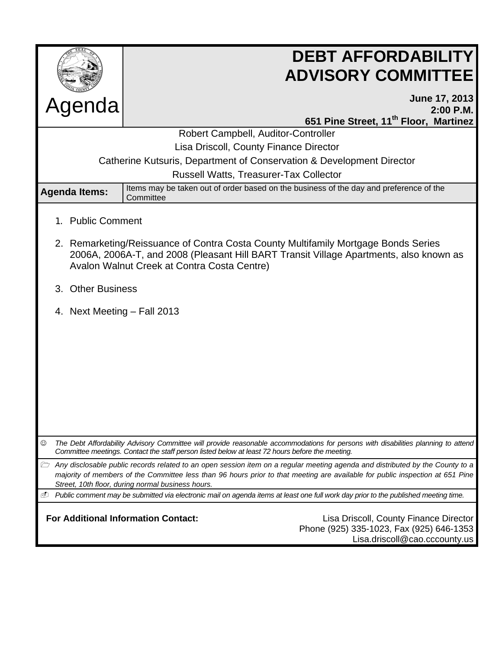

# **DEBT AFFORDABILITY ADVISORY COMMITTEE**

| Agenda                                                                                                                                                                                                                                                                                                                   |                                                                                                     | June 17, 2013<br>$2:00$ P.M.                                                                                                        |
|--------------------------------------------------------------------------------------------------------------------------------------------------------------------------------------------------------------------------------------------------------------------------------------------------------------------------|-----------------------------------------------------------------------------------------------------|-------------------------------------------------------------------------------------------------------------------------------------|
|                                                                                                                                                                                                                                                                                                                          |                                                                                                     | 651 Pine Street, 11 <sup>th</sup> Floor, Martinez                                                                                   |
| Robert Campbell, Auditor-Controller                                                                                                                                                                                                                                                                                      |                                                                                                     |                                                                                                                                     |
| Lisa Driscoll, County Finance Director                                                                                                                                                                                                                                                                                   |                                                                                                     |                                                                                                                                     |
| Catherine Kutsuris, Department of Conservation & Development Director                                                                                                                                                                                                                                                    |                                                                                                     |                                                                                                                                     |
| Russell Watts, Treasurer-Tax Collector                                                                                                                                                                                                                                                                                   |                                                                                                     |                                                                                                                                     |
| <b>Agenda Items:</b>                                                                                                                                                                                                                                                                                                     | Items may be taken out of order based on the business of the day and preference of the<br>Committee |                                                                                                                                     |
| <b>Public Comment</b><br>$1_{-}$                                                                                                                                                                                                                                                                                         |                                                                                                     |                                                                                                                                     |
| 2. Remarketing/Reissuance of Contra Costa County Multifamily Mortgage Bonds Series<br>2006A, 2006A-T, and 2008 (Pleasant Hill BART Transit Village Apartments, also known as<br>Avalon Walnut Creek at Contra Costa Centre)                                                                                              |                                                                                                     |                                                                                                                                     |
| 3. Other Business                                                                                                                                                                                                                                                                                                        |                                                                                                     |                                                                                                                                     |
| 4. Next Meeting - Fall 2013                                                                                                                                                                                                                                                                                              |                                                                                                     |                                                                                                                                     |
|                                                                                                                                                                                                                                                                                                                          |                                                                                                     |                                                                                                                                     |
|                                                                                                                                                                                                                                                                                                                          |                                                                                                     |                                                                                                                                     |
|                                                                                                                                                                                                                                                                                                                          |                                                                                                     |                                                                                                                                     |
|                                                                                                                                                                                                                                                                                                                          |                                                                                                     |                                                                                                                                     |
|                                                                                                                                                                                                                                                                                                                          |                                                                                                     |                                                                                                                                     |
|                                                                                                                                                                                                                                                                                                                          |                                                                                                     |                                                                                                                                     |
|                                                                                                                                                                                                                                                                                                                          |                                                                                                     |                                                                                                                                     |
| ☺<br>The Debt Affordability Advisory Committee will provide reasonable accommodations for persons with disabilities planning to attend<br>Committee meetings. Contact the staff person listed below at least 72 hours before the meeting.                                                                                |                                                                                                     |                                                                                                                                     |
| Any disclosable public records related to an open session item on a regular meeting agenda and distributed by the County to a<br>À<br>majority of members of the Committee less than 96 hours prior to that meeting are available for public inspection at 651 Pine<br>Street, 10th floor, during normal business hours. |                                                                                                     |                                                                                                                                     |
| ⊕                                                                                                                                                                                                                                                                                                                        |                                                                                                     | Public comment may be submitted via electronic mail on agenda items at least one full work day prior to the published meeting time. |
| <b>For Additional Information Contact:</b><br>Lisa Driscoll, County Finance Director<br>Phone (925) 335-1023, Fax (925) 646-1353<br>Lisa.driscoll@cao.cccounty.us                                                                                                                                                        |                                                                                                     |                                                                                                                                     |
|                                                                                                                                                                                                                                                                                                                          |                                                                                                     |                                                                                                                                     |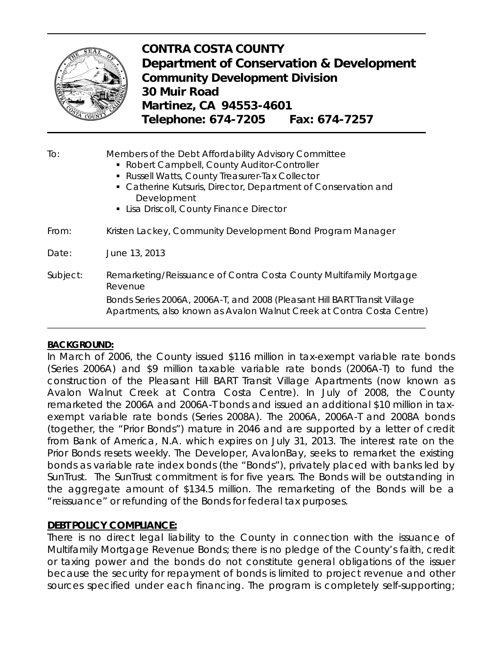

## **CONTRA COSTA COUNTY Department of Conservation & Development Community Development Division 30 Muir Road Martinez, CA 94553-4601 Telephone: 674-7205 Fax: 674-7257**

To: Members of the Debt Affordability Advisory Committee Robert Campbell, County Auditor-Controller Russell Watts, County Treasurer-Tax Collector Catherine Kutsuris, Director, Department of Conservation and Development **Lisa Driscoll, County Finance Director** From: Kristen Lackey, Community Development Bond Program Manager Date: June 13, 2013 Subject: Remarketing/Reissuance of Contra Costa County Multifamily Mortgage Revenue Bonds Series 2006A, 2006A-T, and 2008 (Pleasant Hill BART Transit Village Apartments, also known as Avalon Walnut Creek at Contra Costa Centre)

#### **BACKGROUND:**

In March of 2006, the County issued \$116 million in tax-exempt variable rate bonds (Series 2006A) and \$9 million taxable variable rate bonds (2006A-T) to fund the construction of the Pleasant Hill BART Transit Village Apartments (now known as Avalon Walnut Creek at Contra Costa Centre). In July of 2008, the County remarketed the 2006A and 2006A-T bonds and issued an additional \$10 million in taxexempt variable rate bonds (Series 2008A). The 2006A, 2006A-T and 2008A bonds (together, the "Prior Bonds") mature in 2046 and are supported by a letter of credit from Bank of America, N.A. which expires on July 31, 2013. The interest rate on the Prior Bonds resets weekly. The Developer, AvalonBay, seeks to remarket the existing bonds as variable rate index bonds (the "Bonds"), privately placed with banks led by SunTrust. The SunTrust commitment is for five years. The Bonds will be outstanding in the aggregate amount of \$134.5 million. The remarketing of the Bonds will be a "reissuance" or refunding of the Bonds for federal tax purposes.

#### **DEBT POLICY COMPLIANCE:**

There is no direct legal liability to the County in connection with the issuance of Multifamily Mortgage Revenue Bonds; there is no pledge of the County's faith, credit or taxing power and the bonds do not constitute general obligations of the issuer because the security for repayment of bonds is limited to project revenue and other sources specified under each financing. The program is completely self-supporting;